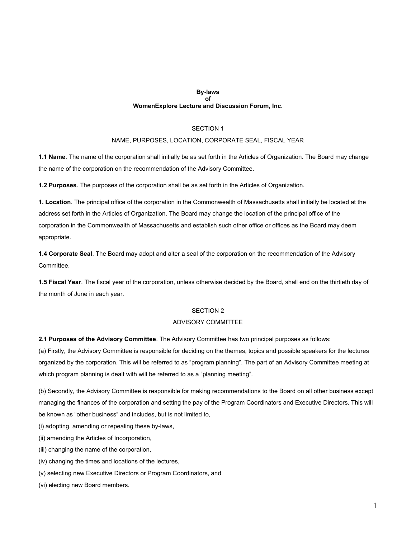#### **By-laws of WomenExplore Lecture and Discussion Forum, Inc.**

# SECTION 1

### NAME, PURPOSES, LOCATION, CORPORATE SEAL, FISCAL YEAR

**1.1 Name**. The name of the corporation shall initially be as set forth in the Articles of Organization. The Board may change the name of the corporation on the recommendation of the Advisory Committee.

**1.2 Purposes**. The purposes of the corporation shall be as set forth in the Articles of Organization.

**1. Location**. The principal office of the corporation in the Commonwealth of Massachusetts shall initially be located at the address set forth in the Articles of Organization. The Board may change the location of the principal office of the corporation in the Commonwealth of Massachusetts and establish such other office or offices as the Board may deem appropriate.

**1.4 Corporate Seal**. The Board may adopt and alter a seal of the corporation on the recommendation of the Advisory Committee.

**1.5 Fiscal Year**. The fiscal year of the corporation, unless otherwise decided by the Board, shall end on the thirtieth day of the month of June in each year.

# SECTION 2

### ADVISORY COMMITTEE

**2.1 Purposes of the Advisory Committee**. The Advisory Committee has two principal purposes as follows:

(a) Firstly, the Advisory Committee is responsible for deciding on the themes, topics and possible speakers for the lectures organized by the corporation. This will be referred to as "program planning". The part of an Advisory Committee meeting at which program planning is dealt with will be referred to as a "planning meeting".

(b) Secondly, the Advisory Committee is responsible for making recommendations to the Board on all other business except managing the finances of the corporation and setting the pay of the Program Coordinators and Executive Directors. This will be known as "other business" and includes, but is not limited to,

(i) adopting, amending or repealing these by-laws,

(ii) amending the Articles of Incorporation,

(iii) changing the name of the corporation,

- (iv) changing the times and locations of the lectures,
- (v) selecting new Executive Directors or Program Coordinators, and

(vi) electing new Board members.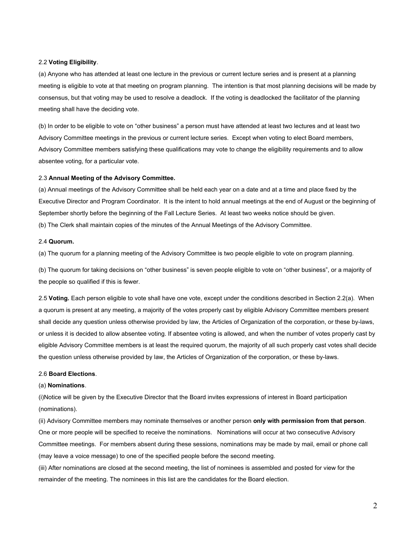### 2.2 **Voting Eligibility**.

(a) Anyone who has attended at least one lecture in the previous or current lecture series and is present at a planning meeting is eligible to vote at that meeting on program planning. The intention is that most planning decisions will be made by consensus, but that voting may be used to resolve a deadlock. If the voting is deadlocked the facilitator of the planning meeting shall have the deciding vote.

(b) In order to be eligible to vote on "other business" a person must have attended at least two lectures and at least two Advisory Committee meetings in the previous or current lecture series. Except when voting to elect Board members, Advisory Committee members satisfying these qualifications may vote to change the eligibility requirements and to allow absentee voting, for a particular vote.

### 2.3 **Annual Meeting of the Advisory Committee.**

(a) Annual meetings of the Advisory Committee shall be held each year on a date and at a time and place fixed by the Executive Director and Program Coordinator. It is the intent to hold annual meetings at the end of August or the beginning of September shortly before the beginning of the Fall Lecture Series. At least two weeks notice should be given. (b) The Clerk shall maintain copies of the minutes of the Annual Meetings of the Advisory Committee.

#### 2.4 **Quorum.**

(a) The quorum for a planning meeting of the Advisory Committee is two people eligible to vote on program planning.

(b) The quorum for taking decisions on "other business" is seven people eligible to vote on "other business", or a majority of the people so qualified if this is fewer.

2.5 **Voting.** Each person eligible to vote shall have one vote, except under the conditions described in Section 2.2(a). When a quorum is present at any meeting, a majority of the votes properly cast by eligible Advisory Committee members present shall decide any question unless otherwise provided by law, the Articles of Organization of the corporation, or these by-laws, or unless it is decided to allow absentee voting. If absentee voting is allowed, and when the number of votes properly cast by eligible Advisory Committee members is at least the required quorum, the majority of all such properly cast votes shall decide the question unless otherwise provided by law, the Articles of Organization of the corporation, or these by-laws.

# 2.6 **Board Elections**.

#### (a) **Nominations**.

(i)Notice will be given by the Executive Director that the Board invites expressions of interest in Board participation (nominations).

(ii) Advisory Committee members may nominate themselves or another person **only with permission from that person**. One or more people will be specified to receive the nominations. Nominations will occur at two consecutive Advisory Committee meetings. For members absent during these sessions, nominations may be made by mail, email or phone call (may leave a voice message) to one of the specified people before the second meeting.

(iii) After nominations are closed at the second meeting, the list of nominees is assembled and posted for view for the remainder of the meeting. The nominees in this list are the candidates for the Board election.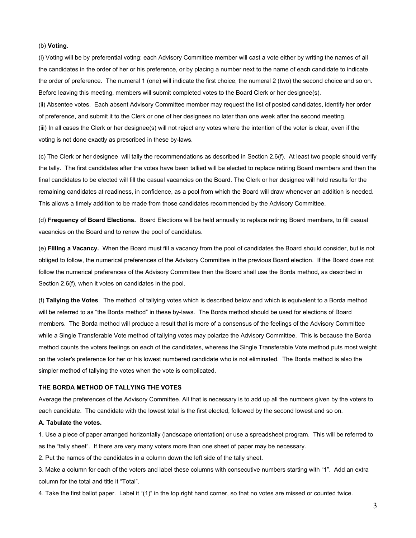## (b) **Voting**.

(i) Voting will be by preferential voting: each Advisory Committee member will cast a vote either by writing the names of all the candidates in the order of her or his preference, or by placing a number next to the name of each candidate to indicate the order of preference. The numeral 1 (one) will indicate the first choice, the numeral 2 (two) the second choice and so on. Before leaving this meeting, members will submit completed votes to the Board Clerk or her designee(s).

(ii) Absentee votes. Each absent Advisory Committee member may request the list of posted candidates, identify her order of preference, and submit it to the Clerk or one of her designees no later than one week after the second meeting. (iii) In all cases the Clerk or her designee(s) will not reject any votes where the intention of the voter is clear, even if the voting is not done exactly as prescribed in these by-laws.

(c) The Clerk or her designee will tally the recommendations as described in Section 2.6(f). At least two people should verify the tally. The first candidates after the votes have been tallied will be elected to replace retiring Board members and then the final candidates to be elected will fill the casual vacancies on the Board. The Clerk or her designee will hold results for the remaining candidates at readiness, in confidence, as a pool from which the Board will draw whenever an addition is needed. This allows a timely addition to be made from those candidates recommended by the Advisory Committee.

(d) **Frequency of Board Elections.** Board Elections will be held annually to replace retiring Board members, to fill casual vacancies on the Board and to renew the pool of candidates.

(e) **Filling a Vacancy.** When the Board must fill a vacancy from the pool of candidates the Board should consider, but is not obliged to follow, the numerical preferences of the Advisory Committee in the previous Board election. If the Board does not follow the numerical preferences of the Advisory Committee then the Board shall use the Borda method, as described in Section 2.6(f), when it votes on candidates in the pool.

(f) **Tallying the Votes**. The method of tallying votes which is described below and which is equivalent to a Borda method will be referred to as "the Borda method" in these by-laws. The Borda method should be used for elections of Board members. The Borda method will produce a result that is more of a consensus of the feelings of the Advisory Committee while a Single Transferable Vote method of tallying votes may polarize the Advisory Committee. This is because the Borda method counts the voters feelings on each of the candidates, whereas the Single Transferable Vote method puts most weight on the voter's preference for her or his lowest numbered candidate who is not eliminated. The Borda method is also the simpler method of tallying the votes when the vote is complicated.

#### **THE BORDA METHOD OF TALLYING THE VOTES**

Average the preferences of the Advisory Committee. All that is necessary is to add up all the numbers given by the voters to each candidate. The candidate with the lowest total is the first elected, followed by the second lowest and so on.

### **A. Tabulate the votes.**

1. Use a piece of paper arranged horizontally (landscape orientation) or use a spreadsheet program. This will be referred to as the "tally sheet". If there are very many voters more than one sheet of paper may be necessary.

2. Put the names of the candidates in a column down the left side of the tally sheet.

3. Make a column for each of the voters and label these columns with consecutive numbers starting with "1". Add an extra column for the total and title it "Total".

4. Take the first ballot paper. Label it "(1)" in the top right hand corner, so that no votes are missed or counted twice.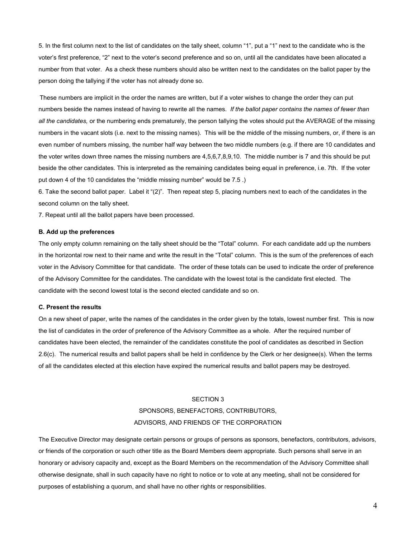5. In the first column next to the list of candidates on the tally sheet, column "1", put a "1" next to the candidate who is the voter's first preference, "2" next to the voter's second preference and so on, until all the candidates have been allocated a number from that voter. As a check these numbers should also be written next to the candidates on the ballot paper by the person doing the tallying if the voter has not already done so.

These numbers are implicit in the order the names are written, but if a voter wishes to change the order they can put numbers beside the names instead of having to rewrite all the names. *If the ballot paper contains the names of fewer than all the candidates,* or the numbering ends prematurely, the person tallying the votes should put the AVERAGE of the missing numbers in the vacant slots (i.e. next to the missing names). This will be the middle of the missing numbers, or, if there is an even number of numbers missing, the number half way between the two middle numbers (e.g. if there are 10 candidates and the voter writes down three names the missing numbers are 4,5,6,7,8,9,10. The middle number is 7 and this should be put beside the other candidates. This is interpreted as the remaining candidates being equal in preference, i.e. 7th. If the voter put down 4 of the 10 candidates the "middle missing number" would be 7.5 .)

6. Take the second ballot paper. Label it "(2)". Then repeat step 5, placing numbers next to each of the candidates in the second column on the tally sheet.

7. Repeat until all the ballot papers have been processed.

### **B. Add up the preferences**

The only empty column remaining on the tally sheet should be the "Total" column. For each candidate add up the numbers in the horizontal row next to their name and write the result in the "Total" column. This is the sum of the preferences of each voter in the Advisory Committee for that candidate. The order of these totals can be used to indicate the order of preference of the Advisory Committee for the candidates. The candidate with the lowest total is the candidate first elected. The candidate with the second lowest total is the second elected candidate and so on.

# **C. Present the results**

On a new sheet of paper, write the names of the candidates in the order given by the totals, lowest number first. This is now the list of candidates in the order of preference of the Advisory Committee as a whole. After the required number of candidates have been elected, the remainder of the candidates constitute the pool of candidates as described in Section 2.6(c). The numerical results and ballot papers shall be held in confidence by the Clerk or her designee(s). When the terms of all the candidates elected at this election have expired the numerical results and ballot papers may be destroyed.

### SECTION 3

# SPONSORS, BENEFACTORS, CONTRIBUTORS, ADVISORS, AND FRIENDS OF THE CORPORATION

The Executive Director may designate certain persons or groups of persons as sponsors, benefactors, contributors, advisors, or friends of the corporation or such other title as the Board Members deem appropriate. Such persons shall serve in an honorary or advisory capacity and, except as the Board Members on the recommendation of the Advisory Committee shall otherwise designate, shall in such capacity have no right to notice or to vote at any meeting, shall not be considered for purposes of establishing a quorum, and shall have no other rights or responsibilities.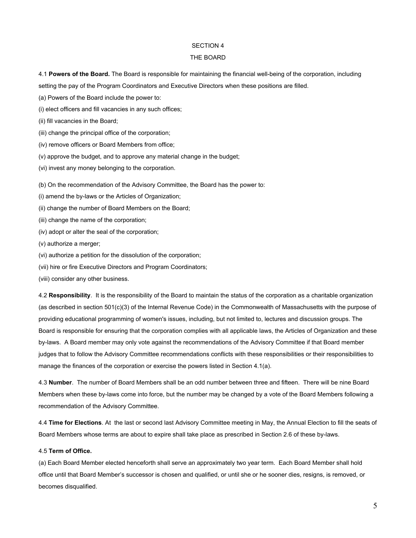# SECTION 4

### THE BOARD

4.1 **Powers of the Board.** The Board is responsible for maintaining the financial well-being of the corporation, including setting the pay of the Program Coordinators and Executive Directors when these positions are filled.

- (a) Powers of the Board include the power to:
- (i) elect officers and fill vacancies in any such offices;
- (ii) fill vacancies in the Board;
- (iii) change the principal office of the corporation;
- (iv) remove officers or Board Members from office;
- (v) approve the budget, and to approve any material change in the budget;
- (vi) invest any money belonging to the corporation.

(b) On the recommendation of the Advisory Committee, the Board has the power to:

- (i) amend the by-laws or the Articles of Organization;
- (ii) change the number of Board Members on the Board;
- (iii) change the name of the corporation;
- (iv) adopt or alter the seal of the corporation;
- (v) authorize a merger;
- (vi) authorize a petition for the dissolution of the corporation;
- (vii) hire or fire Executive Directors and Program Coordinators;
- (viii) consider any other business.

4.2 **Responsibility**. It is the responsibility of the Board to maintain the status of the corporation as a charitable organization (as described in section 501(c)(3) of the Internal Revenue Code) in the Commonwealth of Massachusetts with the purpose of providing educational programming of women's issues, including, but not limited to, lectures and discussion groups. The Board is responsible for ensuring that the corporation complies with all applicable laws, the Articles of Organization and these by-laws. A Board member may only vote against the recommendations of the Advisory Committee if that Board member judges that to follow the Advisory Committee recommendations conflicts with these responsibilities or their responsibilities to manage the finances of the corporation or exercise the powers listed in Section 4.1(a).

4.3 **Number**. The number of Board Members shall be an odd number between three and fifteen. There will be nine Board Members when these by-laws come into force, but the number may be changed by a vote of the Board Members following a recommendation of the Advisory Committee.

4.4 **Time for Elections**. At the last or second last Advisory Committee meeting in May, the Annual Election to fill the seats of Board Members whose terms are about to expire shall take place as prescribed in Section 2.6 of these by-laws.

# 4.5 **Term of Office.**

(a) Each Board Member elected henceforth shall serve an approximately two year term. Each Board Member shall hold office until that Board Member's successor is chosen and qualified, or until she or he sooner dies, resigns, is removed, or becomes disqualified.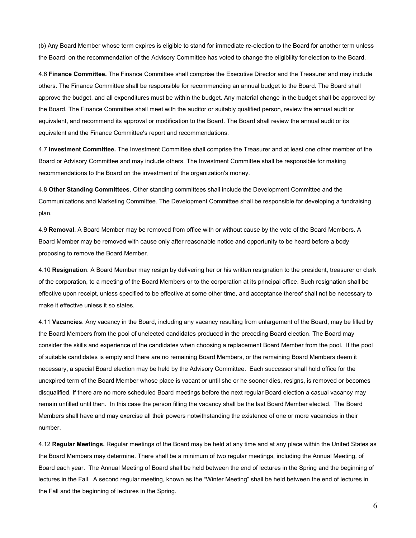(b) Any Board Member whose term expires is eligible to stand for immediate re-election to the Board for another term unless the Board on the recommendation of the Advisory Committee has voted to change the eligibility for election to the Board.

4.6 **Finance Committee.** The Finance Committee shall comprise the Executive Director and the Treasurer and may include others. The Finance Committee shall be responsible for recommending an annual budget to the Board. The Board shall approve the budget, and all expenditures must be within the budget. Any material change in the budget shall be approved by the Board. The Finance Committee shall meet with the auditor or suitably qualified person, review the annual audit or equivalent, and recommend its approval or modification to the Board. The Board shall review the annual audit or its equivalent and the Finance Committee's report and recommendations.

4.7 **Investment Committee.** The Investment Committee shall comprise the Treasurer and at least one other member of the Board or Advisory Committee and may include others. The Investment Committee shall be responsible for making recommendations to the Board on the investment of the organization's money.

4.8 **Other Standing Committees**. Other standing committees shall include the Development Committee and the Communications and Marketing Committee. The Development Committee shall be responsible for developing a fundraising plan.

4.9 **Removal**. A Board Member may be removed from office with or without cause by the vote of the Board Members. A Board Member may be removed with cause only after reasonable notice and opportunity to be heard before a body proposing to remove the Board Member.

4.10 **Resignation**. A Board Member may resign by delivering her or his written resignation to the president, treasurer or clerk of the corporation, to a meeting of the Board Members or to the corporation at its principal office. Such resignation shall be effective upon receipt, unless specified to be effective at some other time, and acceptance thereof shall not be necessary to make it effective unless it so states.

4.11 **Vacancies**. Any vacancy in the Board, including any vacancy resulting from enlargement of the Board, may be filled by the Board Members from the pool of unelected candidates produced in the preceding Board election. The Board may consider the skills and experience of the candidates when choosing a replacement Board Member from the pool. If the pool of suitable candidates is empty and there are no remaining Board Members, or the remaining Board Members deem it necessary, a special Board election may be held by the Advisory Committee. Each successor shall hold office for the unexpired term of the Board Member whose place is vacant or until she or he sooner dies, resigns, is removed or becomes disqualified. If there are no more scheduled Board meetings before the next regular Board election a casual vacancy may remain unfilled until then. In this case the person filling the vacancy shall be the last Board Member elected. The Board Members shall have and may exercise all their powers notwithstanding the existence of one or more vacancies in their number.

4.12 **Regular Meetings.** Regular meetings of the Board may be held at any time and at any place within the United States as the Board Members may determine. There shall be a minimum of two regular meetings, including the Annual Meeting, of Board each year. The Annual Meeting of Board shall be held between the end of lectures in the Spring and the beginning of lectures in the Fall. A second regular meeting, known as the "Winter Meeting" shall be held between the end of lectures in the Fall and the beginning of lectures in the Spring.

6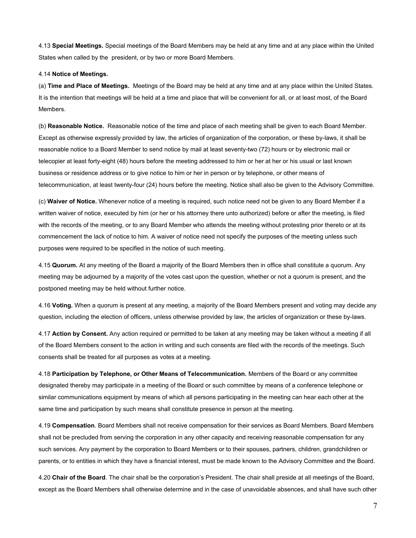4.13 **Special Meetings.** Special meetings of the Board Members may be held at any time and at any place within the United States when called by the president, or by two or more Board Members.

#### 4.14 **Notice of Meetings.**

(a) **Time and Place of Meetings.** Meetings of the Board may be held at any time and at any place within the United States. It is the intention that meetings will be held at a time and place that will be convenient for all, or at least most, of the Board Members.

(b) **Reasonable Notice.** Reasonable notice of the time and place of each meeting shall be given to each Board Member. Except as otherwise expressly provided by law, the articles of organization of the corporation, or these by-laws, it shall be reasonable notice to a Board Member to send notice by mail at least seventy-two (72) hours or by electronic mail or telecopier at least forty-eight (48) hours before the meeting addressed to him or her at her or his usual or last known business or residence address or to give notice to him or her in person or by telephone, or other means of telecommunication, at least twenty-four (24) hours before the meeting. Notice shall also be given to the Advisory Committee.

(c) **Waiver of Notice.** Whenever notice of a meeting is required, such notice need not be given to any Board Member if a written waiver of notice, executed by him (or her or his attorney there unto authorized) before or after the meeting, is filed with the records of the meeting, or to any Board Member who attends the meeting without protesting prior thereto or at its commencement the lack of notice to him. A waiver of notice need not specify the purposes of the meeting unless such purposes were required to be specified in the notice of such meeting.

4.15 **Quorum.** At any meeting of the Board a majority of the Board Members then in office shall constitute a quorum. Any meeting may be adjourned by a majority of the votes cast upon the question, whether or not a quorum is present, and the postponed meeting may be held without further notice.

4.16 **Voting.** When a quorum is present at any meeting, a majority of the Board Members present and voting may decide any question, including the election of officers, unless otherwise provided by law, the articles of organization or these by-laws.

4.17 **Action by Consent.** Any action required or permitted to be taken at any meeting may be taken without a meeting if all of the Board Members consent to the action in writing and such consents are filed with the records of the meetings. Such consents shall be treated for all purposes as votes at a meeting.

4.18 **Participation by Telephone, or Other Means of Telecommunication.** Members of the Board or any committee designated thereby may participate in a meeting of the Board or such committee by means of a conference telephone or similar communications equipment by means of which all persons participating in the meeting can hear each other at the same time and participation by such means shall constitute presence in person at the meeting.

4.19 **Compensation**. Board Members shall not receive compensation for their services as Board Members. Board Members shall not be precluded from serving the corporation in any other capacity and receiving reasonable compensation for any such services. Any payment by the corporation to Board Members or to their spouses, partners, children, grandchildren or parents, or to entities in which they have a financial interest, must be made known to the Advisory Committee and the Board.

4.20 **Chair of the Board**. The chair shall be the corporation's President. The chair shall preside at all meetings of the Board, except as the Board Members shall otherwise determine and in the case of unavoidable absences, and shall have such other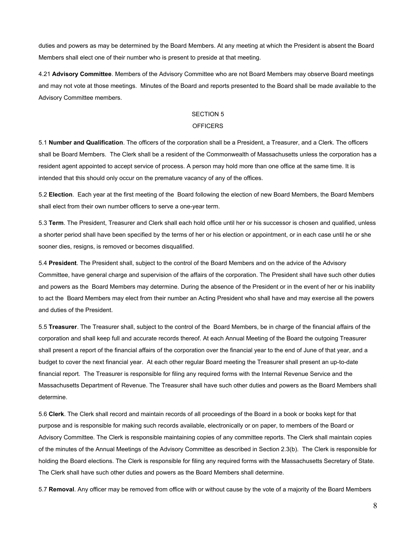duties and powers as may be determined by the Board Members. At any meeting at which the President is absent the Board Members shall elect one of their number who is present to preside at that meeting.

4.21 **Advisory Committee**. Members of the Advisory Committee who are not Board Members may observe Board meetings and may not vote at those meetings. Minutes of the Board and reports presented to the Board shall be made available to the Advisory Committee members.

# SECTION 5

#### **OFFICERS**

5.1 **Number and Qualification**. The officers of the corporation shall be a President, a Treasurer, and a Clerk. The officers shall be Board Members. The Clerk shall be a resident of the Commonwealth of Massachusetts unless the corporation has a resident agent appointed to accept service of process. A person may hold more than one office at the same time. It is intended that this should only occur on the premature vacancy of any of the offices.

5.2 **Election**. Each year at the first meeting of the Board following the election of new Board Members, the Board Members shall elect from their own number officers to serve a one-year term.

5.3 **Term**. The President, Treasurer and Clerk shall each hold office until her or his successor is chosen and qualified, unless a shorter period shall have been specified by the terms of her or his election or appointment, or in each case until he or she sooner dies, resigns, is removed or becomes disqualified.

5.4 **President**. The President shall, subject to the control of the Board Members and on the advice of the Advisory Committee, have general charge and supervision of the affairs of the corporation. The President shall have such other duties and powers as the Board Members may determine. During the absence of the President or in the event of her or his inability to act the Board Members may elect from their number an Acting President who shall have and may exercise all the powers and duties of the President.

5.5 **Treasurer**. The Treasurer shall, subject to the control of the Board Members, be in charge of the financial affairs of the corporation and shall keep full and accurate records thereof. At each Annual Meeting of the Board the outgoing Treasurer shall present a report of the financial affairs of the corporation over the financial year to the end of June of that year, and a budget to cover the next financial year. At each other regular Board meeting the Treasurer shall present an up-to-date financial report. The Treasurer is responsible for filing any required forms with the Internal Revenue Service and the Massachusetts Department of Revenue. The Treasurer shall have such other duties and powers as the Board Members shall determine.

5.6 **Clerk**. The Clerk shall record and maintain records of all proceedings of the Board in a book or books kept for that purpose and is responsible for making such records available, electronically or on paper, to members of the Board or Advisory Committee. The Clerk is responsible maintaining copies of any committee reports. The Clerk shall maintain copies of the minutes of the Annual Meetings of the Advisory Committee as described in Section 2.3(b). The Clerk is responsible for holding the Board elections. The Clerk is responsible for filing any required forms with the Massachusetts Secretary of State. The Clerk shall have such other duties and powers as the Board Members shall determine.

5.7 **Removal**. Any officer may be removed from office with or without cause by the vote of a majority of the Board Members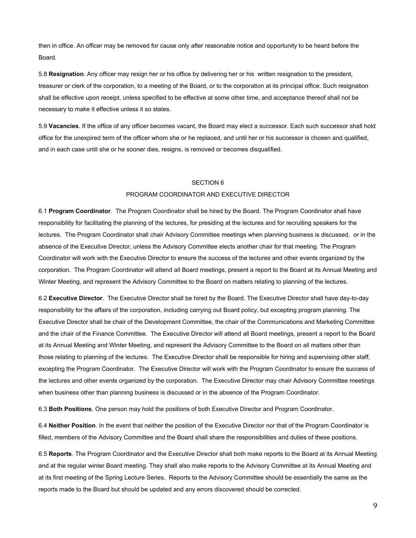then in office. An officer may be removed for cause only after reasonable notice and opportunity to be heard before the Board.

5.8 **Resignation**. Any officer may resign her or his office by delivering her or his written resignation to the president, treasurer or clerk of the corporation, to a meeting of the Board, or to the corporation at its principal office. Such resignation shall be effective upon receipt, unless specified to be effective at some other time, and acceptance thereof shall not be necessary to make it effective unless it so states.

5.9 **Vacancies**. If the office of any officer becomes vacant, the Board may elect a successor. Each such successor shall hold office for the unexpired term of the officer whom she or he replaced, and until her or his successor is chosen and qualified, and in each case until she or he sooner dies, resigns, is removed or becomes disqualified.

# SECTION 6

# PROGRAM COORDINATOR AND EXECUTIVE DIRECTOR

6.1 **Program Coordinator**. The Program Coordinator shall be hired by the Board. The Program Coordinator shall have responsibility for facilitating the planning of the lectures, for presiding at the lectures and for recruiting speakers for the lectures. The Program Coordinator shall chair Advisory Committee meetings when planning business is discussed, or in the absence of the Executive Director, unless the Advisory Committee elects another chair for that meeting. The Program Coordinator will work with the Executive Director to ensure the success of the lectures and other events organized by the corporation. The Program Coordinator will attend all Board meetings, present a report to the Board at its Annual Meeting and Winter Meeting, and represent the Advisory Committee to the Board on matters relating to planning of the lectures.

6.2 **Executive Director**. The Executive Director shall be hired by the Board. The Executive Director shall have day-to-day responsibility for the affairs of the corporation, including carrying out Board policy, but excepting program planning. The Executive Director shall be chair of the Development Committee, the chair of the Communications and Marketing Committee and the chair of the Finance Committee. The Executive Director will attend all Board meetings, present a report to the Board at its Annual Meeting and Winter Meeting, and represent the Advisory Committee to the Board on all matters other than those relating to planning of the lectures. The Executive Director shall be responsible for hiring and supervising other staff, excepting the Program Coordinator. The Executive Director will work with the Program Coordinator to ensure the success of the lectures and other events organized by the corporation. The Executive Director may chair Advisory Committee meetings when business other than planning business is discussed or in the absence of the Program Coordinator.

6.3 **Both Positions**. One person may hold the positions of both Executive Director and Program Coordinator.

6.4 **Neither Position**. In the event that neither the position of the Executive Director nor that of the Program Coordinator is filled, members of the Advisory Committee and the Board shall share the responsibilities and duties of these positions.

6.5 **Reports**. The Program Coordinator and the Executive Director shall both make reports to the Board at its Annual Meeting and at the regular winter Board meeting. They shall also make reports to the Advisory Committee at its Annual Meeting and at its first meeting of the Spring Lecture Series. Reports to the Advisory Committee should be essentially the same as the reports made to the Board but should be updated and any errors discovered should be corrected.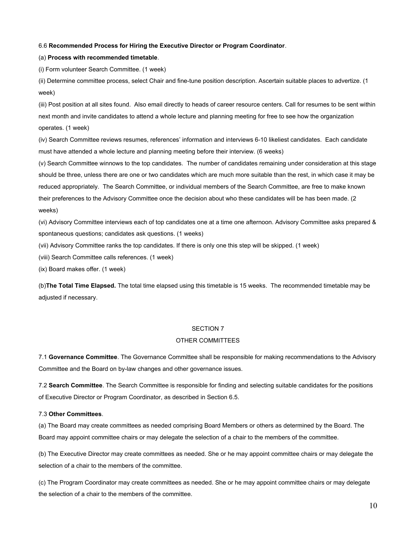#### 6.6 **Recommended Process for Hiring the Executive Director or Program Coordinator**.

### (a) **Process with recommended timetable**.

(i) Form volunteer Search Committee. (1 week)

(ii) Determine committee process, select Chair and fine-tune position description. Ascertain suitable places to advertize. (1 week)

(iii) Post position at all sites found. Also email directly to heads of career resource centers. Call for resumes to be sent within next month and invite candidates to attend a whole lecture and planning meeting for free to see how the organization operates. (1 week)

(iv) Search Committee reviews resumes, references' information and interviews 6-10 likeliest candidates. Each candidate must have attended a whole lecture and planning meeting before their interview. (6 weeks)

(v) Search Committee winnows to the top candidates. The number of candidates remaining under consideration at this stage should be three, unless there are one or two candidates which are much more suitable than the rest, in which case it may be reduced appropriately. The Search Committee, or individual members of the Search Committee, are free to make known their preferences to the Advisory Committee once the decision about who these candidates will be has been made. (2 weeks)

(vi) Advisory Committee interviews each of top candidates one at a time one afternoon. Advisory Committee asks prepared & spontaneous questions; candidates ask questions. (1 weeks)

(vii) Advisory Committee ranks the top candidates. If there is only one this step will be skipped. (1 week)

(viii) Search Committee calls references. (1 week)

(ix) Board makes offer. (1 week)

(b)**The Total Time Elapsed.** The total time elapsed using this timetable is 15 weeks. The recommended timetable may be adjusted if necessary.

## SECTION 7

### OTHER COMMITTEES

7.1 **Governance Committee**. The Governance Committee shall be responsible for making recommendations to the Advisory Committee and the Board on by-law changes and other governance issues.

7.2 **Search Committee**. The Search Committee is responsible for finding and selecting suitable candidates for the positions of Executive Director or Program Coordinator, as described in Section 6.5.

#### 7.3 **Other Committees**.

(a) The Board may create committees as needed comprising Board Members or others as determined by the Board. The Board may appoint committee chairs or may delegate the selection of a chair to the members of the committee.

(b) The Executive Director may create committees as needed. She or he may appoint committee chairs or may delegate the selection of a chair to the members of the committee.

(c) The Program Coordinator may create committees as needed. She or he may appoint committee chairs or may delegate the selection of a chair to the members of the committee.